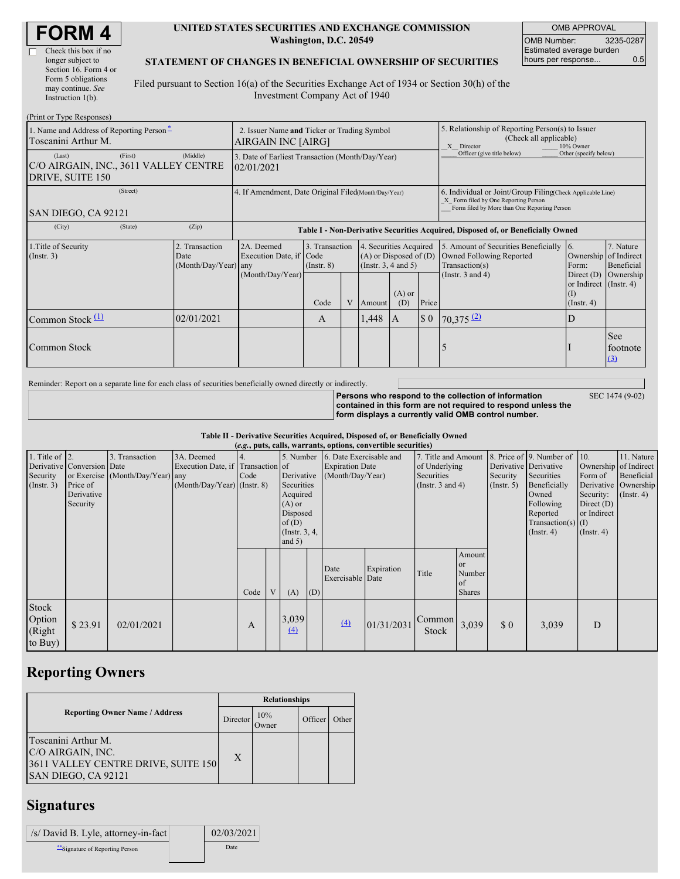г

#### **UNITED STATES SECURITIES AND EXCHANGE COMMISSION Washington, D.C. 20549**

OMB APPROVAL OMB Number: 3235-0287 Estimated average burden hours per response... 0.5

#### **STATEMENT OF CHANGES IN BENEFICIAL OWNERSHIP OF SECURITIES**

Filed pursuant to Section 16(a) of the Securities Exchange Act of 1934 or Section 30(h) of the Investment Company Act of 1940

| (Print or Type Responses)                                           |                                                                   |                                                                |                                                                                  |                                   |   |                                                                             |                                                                                                       |                                                                                                                                                    |                                                                                    |                                                                 |                             |
|---------------------------------------------------------------------|-------------------------------------------------------------------|----------------------------------------------------------------|----------------------------------------------------------------------------------|-----------------------------------|---|-----------------------------------------------------------------------------|-------------------------------------------------------------------------------------------------------|----------------------------------------------------------------------------------------------------------------------------------------------------|------------------------------------------------------------------------------------|-----------------------------------------------------------------|-----------------------------|
| 1. Name and Address of Reporting Person-<br>Toscanini Arthur M.     | 2. Issuer Name and Ticker or Trading Symbol<br>AIRGAIN INC [AIRG] |                                                                |                                                                                  |                                   |   |                                                                             | 5. Relationship of Reporting Person(s) to Issuer<br>(Check all applicable)<br>10% Owner<br>X Director |                                                                                                                                                    |                                                                                    |                                                                 |                             |
| (Last)<br>C/O AIRGAIN, INC., 3611 VALLEY CENTRE<br>DRIVE, SUITE 150 | (Middle)                                                          | 3. Date of Earliest Transaction (Month/Day/Year)<br>02/01/2021 |                                                                                  |                                   |   |                                                                             |                                                                                                       | Officer (give title below)                                                                                                                         | Other (specify below)                                                              |                                                                 |                             |
| ISAN DIEGO, CA 92121                                                |                                                                   | 4. If Amendment, Date Original Filed(Month/Day/Year)           |                                                                                  |                                   |   |                                                                             |                                                                                                       | 6. Individual or Joint/Group Filing Check Applicable Line)<br>X Form filed by One Reporting Person<br>Form filed by More than One Reporting Person |                                                                                    |                                                                 |                             |
| (City)                                                              | (State)                                                           | (Zip)                                                          | Table I - Non-Derivative Securities Acquired, Disposed of, or Beneficially Owned |                                   |   |                                                                             |                                                                                                       |                                                                                                                                                    |                                                                                    |                                                                 |                             |
| 1. Title of Security<br>$($ Instr. 3 $)$                            |                                                                   | 2. Transaction<br>Date<br>$(Month/Day/Year)$ any               | 2A. Deemed<br>Execution Date, if Code                                            | 3. Transaction<br>$($ Instr. $8)$ |   | 4. Securities Acquired<br>$(A)$ or Disposed of $(D)$<br>(Instr. 3, 4 and 5) |                                                                                                       |                                                                                                                                                    | 5. Amount of Securities Beneficially<br>Owned Following Reported<br>Transaction(s) | 16.<br>Ownership of Indirect<br>Form:                           | 7. Nature<br>Beneficial     |
|                                                                     |                                                                   |                                                                | (Month/Day/Year)                                                                 | Code                              | V | Amount                                                                      | $(A)$ or<br>(D)                                                                                       | Price                                                                                                                                              | (Instr. 3 and 4)                                                                   | Direct (D)<br>or Indirect (Instr. 4)<br>(I)<br>$($ Instr. 4 $)$ | Ownership                   |
| Common Stock $(1)$                                                  |                                                                   | 02/01/2021                                                     |                                                                                  | A                                 |   | 1,448                                                                       | I A                                                                                                   | $\boldsymbol{\mathsf{S}}$ 0                                                                                                                        | $70,375$ $(2)$                                                                     | D                                                               |                             |
| Common Stock                                                        |                                                                   |                                                                |                                                                                  |                                   |   |                                                                             |                                                                                                       |                                                                                                                                                    |                                                                                    |                                                                 | See<br>footnote<br>$\Omega$ |

Reminder: Report on a separate line for each class of securities beneficially owned directly or indirectly.

**Persons who respond to the collection of information contained in this form are not required to respond unless the** SEC 1474 (9-02)

**form displays a currently valid OMB control number.**

**Table II - Derivative Securities Acquired, Disposed of, or Beneficially Owned**

| (e.g., puts, calls, warrants, options, convertible securities) |                                                                  |                                                    |                                                                                  |      |   |                                                                                                      |     |                                                                                 |            |                                                                        |                                               |                                                  |                                                                                                                                          |                                                                                                  |                                                                      |
|----------------------------------------------------------------|------------------------------------------------------------------|----------------------------------------------------|----------------------------------------------------------------------------------|------|---|------------------------------------------------------------------------------------------------------|-----|---------------------------------------------------------------------------------|------------|------------------------------------------------------------------------|-----------------------------------------------|--------------------------------------------------|------------------------------------------------------------------------------------------------------------------------------------------|--------------------------------------------------------------------------------------------------|----------------------------------------------------------------------|
| 1. Title of $ 2$ .<br>Security<br>$($ Instr. 3 $)$             | Derivative Conversion Date<br>Price of<br>Derivative<br>Security | 3. Transaction<br>or Exercise (Month/Day/Year) any | 3A. Deemed<br>Execution Date, if Transaction of<br>$(Month/Day/Year)$ (Instr. 8) | Code |   | Derivative<br>Securities<br>Acquired<br>$(A)$ or<br>Disposed<br>of(D)<br>(Instr. $3, 4,$<br>and $5)$ |     | 5. Number 6. Date Exercisable and<br><b>Expiration Date</b><br>(Month/Day/Year) |            | 7. Title and Amount<br>of Underlying<br>Securities<br>(Instr. 3 and 4) |                                               | Derivative Derivative<br>Security<br>(Insert, 5) | 8. Price of 9. Number of 10.<br>Securities<br>Beneficially<br>Owned<br>Following<br>Reported<br>Transaction(s) $(I)$<br>$($ Instr. 4 $)$ | Ownership of Indirect<br>Form of<br>Security:<br>Direct $(D)$<br>or Indirect<br>$($ Instr. 4 $)$ | 11. Nature<br>Beneficial<br>Derivative Ownership<br>$($ Instr. 4 $)$ |
|                                                                |                                                                  |                                                    |                                                                                  | Code | V | (A)                                                                                                  | (D) | Date<br>Exercisable Date                                                        | Expiration | Title                                                                  | Amount<br>or<br>Number<br>of<br><b>Shares</b> |                                                  |                                                                                                                                          |                                                                                                  |                                                                      |
| Stock<br>Option<br>(Right<br>to Buy)                           | \$23.91                                                          | 02/01/2021                                         |                                                                                  | A    |   | 3,039<br>(4)                                                                                         |     | $\left(4\right)$                                                                | 01/31/2031 | Common<br>Stock                                                        | 3,039                                         | $\boldsymbol{\mathsf{S}}$ 0                      | 3,039                                                                                                                                    | D                                                                                                |                                                                      |

# **Reporting Owners**

|                                                                                                        | <b>Relationships</b> |                     |         |       |  |  |  |
|--------------------------------------------------------------------------------------------------------|----------------------|---------------------|---------|-------|--|--|--|
| <b>Reporting Owner Name / Address</b>                                                                  | Director             | 10%<br><b>Twner</b> | Officer | Other |  |  |  |
| Toscanini Arthur M.<br>C/O AIRGAIN, INC.<br>3611 VALLEY CENTRE DRIVE, SUITE 150<br>SAN DIEGO, CA 92121 | X                    |                     |         |       |  |  |  |

# **Signatures**

| /s/ David B. Lyle, attorney-in-fact | 02/03/2021 |
|-------------------------------------|------------|
| "Signature of Reporting Person      | Date       |